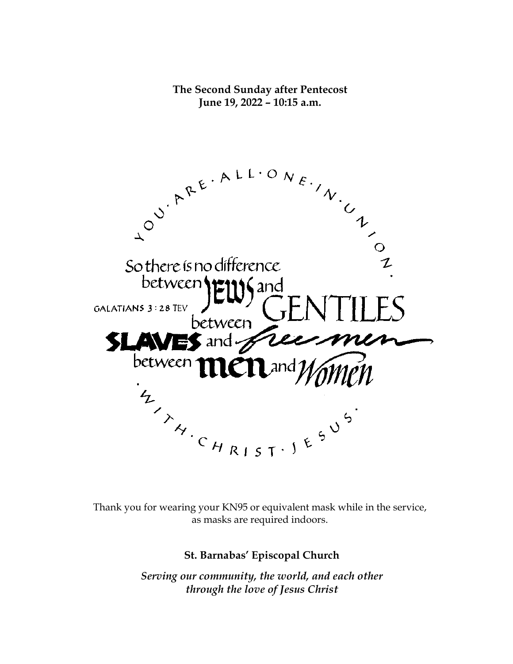# **The Second Sunday after Pentecost June 19, 2022 – 10:15 a.m.**



Thank you for wearing your KN95 or equivalent mask while in the service, as masks are required indoors.

# **St. Barnabas' Episcopal Church**

*Serving our community, the world, and each other through the love of Jesus Christ*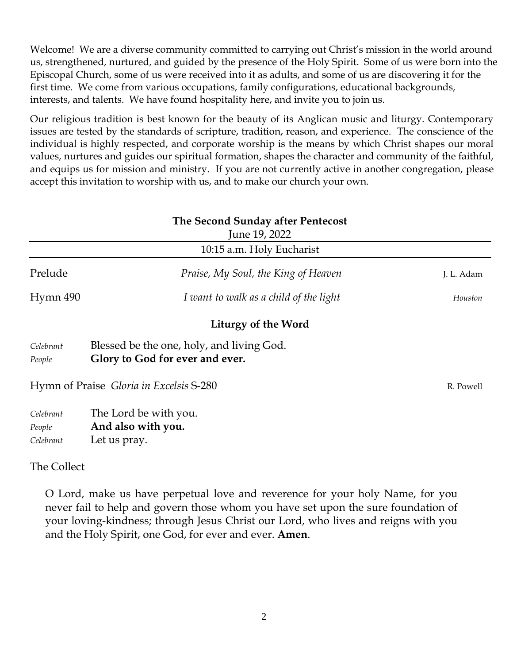Welcome! We are a diverse community committed to carrying out Christ's mission in the world around us, strengthened, nurtured, and guided by the presence of the Holy Spirit. Some of us were born into the Episcopal Church, some of us were received into it as adults, and some of us are discovering it for the first time. We come from various occupations, family configurations, educational backgrounds, interests, and talents. We have found hospitality here, and invite you to join us.

Our religious tradition is best known for the beauty of its Anglican music and liturgy. Contemporary issues are tested by the standards of scripture, tradition, reason, and experience. The conscience of the individual is highly respected, and corporate worship is the means by which Christ shapes our moral values, nurtures and guides our spiritual formation, shapes the character and community of the faithful, and equips us for mission and ministry. If you are not currently active in another congregation, please accept this invitation to worship with us, and to make our church your own.

|                                                | The Second Sunday after Pentecost<br>June 19, 2022                           |            |  |  |  |
|------------------------------------------------|------------------------------------------------------------------------------|------------|--|--|--|
| 10:15 a.m. Holy Eucharist                      |                                                                              |            |  |  |  |
| Prelude                                        | Praise, My Soul, the King of Heaven                                          | J. L. Adam |  |  |  |
| Hymn 490                                       | I want to walk as a child of the light                                       | Houston    |  |  |  |
|                                                | Liturgy of the Word                                                          |            |  |  |  |
| Celebrant<br>People                            | Blessed be the one, holy, and living God.<br>Glory to God for ever and ever. |            |  |  |  |
| Hymn of Praise <i>Gloria in Excelsis</i> S-280 |                                                                              |            |  |  |  |
| Celebrant<br>People                            | The Lord be with you.<br>And also with you.                                  |            |  |  |  |

*Celebrant* Let us pray.

The Collect

O Lord, make us have perpetual love and reverence for your holy Name, for you never fail to help and govern those whom you have set upon the sure foundation of your loving-kindness; through Jesus Christ our Lord, who lives and reigns with you and the Holy Spirit, one God, for ever and ever. **Amen**.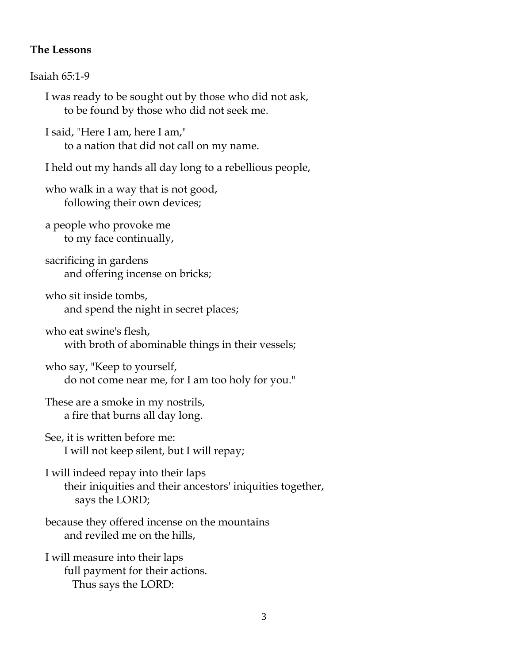# **The Lessons**

Isaiah 65:1-9

I was ready to be sought out by those who did not ask, to be found by those who did not seek me.

I said, "Here I am, here I am," to a nation that did not call on my name.

I held out my hands all day long to a rebellious people,

who walk in a way that is not good, following their own devices;

a people who provoke me to my face continually,

sacrificing in gardens and offering incense on bricks;

who sit inside tombs, and spend the night in secret places;

who eat swine's flesh, with broth of abominable things in their vessels;

who say, "Keep to yourself, do not come near me, for I am too holy for you."

These are a smoke in my nostrils, a fire that burns all day long.

See, it is written before me: I will not keep silent, but I will repay;

I will indeed repay into their laps their iniquities and their ancestors' iniquities together, says the LORD;

because they offered incense on the mountains and reviled me on the hills,

I will measure into their laps full payment for their actions. Thus says the LORD: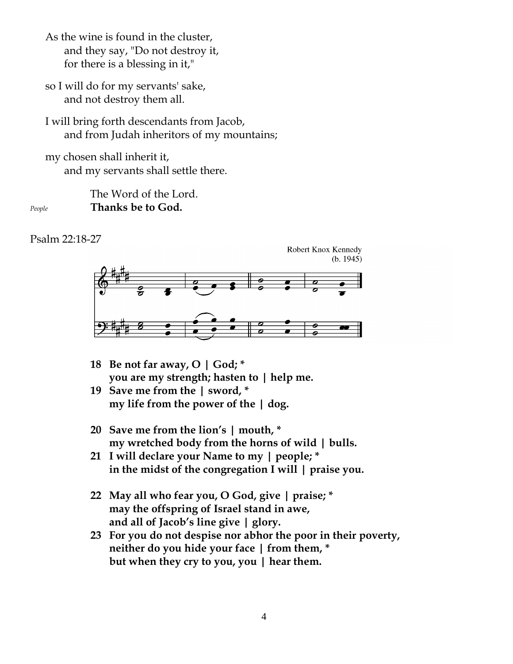- As the wine is found in the cluster, and they say, "Do not destroy it, for there is a blessing in it,"
- so I will do for my servants' sake, and not destroy them all.
- I will bring forth descendants from Jacob, and from Judah inheritors of my mountains;
- my chosen shall inherit it, and my servants shall settle there.

 The Word of the Lord. *People* **Thanks be to God.**

Psalm 22:18-27

Robert Knox Kennedy  $(b. 1945)$ 



- **18 Be not far away, O | God; \* you are my strength; hasten to | help me.**
- **19 Save me from the | sword, \* my life from the power of the | dog.**
- **20 Save me from the lion's | mouth, \* my wretched body from the horns of wild | bulls.**
- **21 I will declare your Name to my | people; \* in the midst of the congregation I will | praise you.**
- **22 May all who fear you, O God, give | praise; \* may the offspring of Israel stand in awe, and all of Jacob's line give | glory.**
- **23 For you do not despise nor abhor the poor in their poverty, neither do you hide your face | from them, \* but when they cry to you, you | hear them.**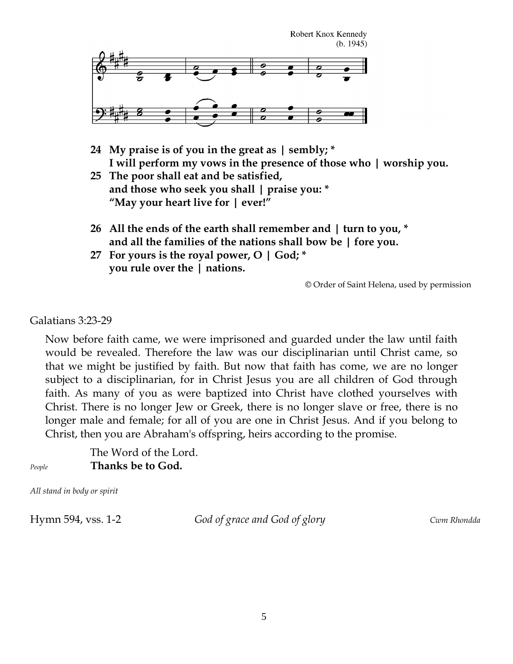Robert Knox Kennedy  $(b. 1945)$ 



- **24 My praise is of you in the great as | sembly; \* I will perform my vows in the presence of those who | worship you.**
- **25 The poor shall eat and be satisfied, and those who seek you shall | praise you: \* "May your heart live for | ever!"**
- **26 All the ends of the earth shall remember and | turn to you, \* and all the families of the nations shall bow be | fore you.**
- **27 For yours is the royal power, O | God; \* you rule over the | nations.**

© Order of Saint Helena, used by permission

# Galatians 3:23-29

Now before faith came, we were imprisoned and guarded under the law until faith would be revealed. Therefore the law was our disciplinarian until Christ came, so that we might be justified by faith. But now that faith has come, we are no longer subject to a disciplinarian, for in Christ Jesus you are all children of God through faith. As many of you as were baptized into Christ have clothed yourselves with Christ. There is no longer Jew or Greek, there is no longer slave or free, there is no longer male and female; for all of you are one in Christ Jesus. And if you belong to Christ, then you are Abraham's offspring, heirs according to the promise.

 The Word of the Lord. *People* **Thanks be to God.**

*All stand in body or spirit*

Hymn 594, vss. 1-2 *God of grace and God of glory Cwm Rhondda*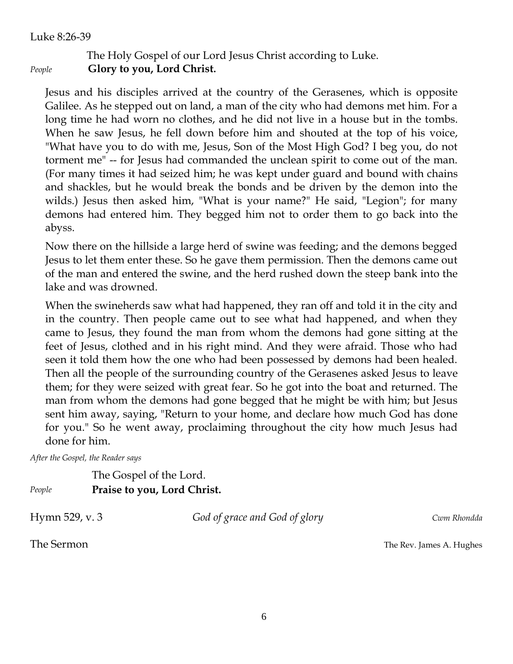# Luke 8:26-39

The Holy Gospel of our Lord Jesus Christ according to Luke. *People* **Glory to you, Lord Christ.**

Jesus and his disciples arrived at the country of the Gerasenes, which is opposite Galilee. As he stepped out on land, a man of the city who had demons met him. For a long time he had worn no clothes, and he did not live in a house but in the tombs. When he saw Jesus, he fell down before him and shouted at the top of his voice, "What have you to do with me, Jesus, Son of the Most High God? I beg you, do not torment me" -- for Jesus had commanded the unclean spirit to come out of the man. (For many times it had seized him; he was kept under guard and bound with chains and shackles, but he would break the bonds and be driven by the demon into the wilds.) Jesus then asked him, "What is your name?" He said, "Legion"; for many demons had entered him. They begged him not to order them to go back into the abyss.

Now there on the hillside a large herd of swine was feeding; and the demons begged Jesus to let them enter these. So he gave them permission. Then the demons came out of the man and entered the swine, and the herd rushed down the steep bank into the lake and was drowned.

When the swineherds saw what had happened, they ran off and told it in the city and in the country. Then people came out to see what had happened, and when they came to Jesus, they found the man from whom the demons had gone sitting at the feet of Jesus, clothed and in his right mind. And they were afraid. Those who had seen it told them how the one who had been possessed by demons had been healed. Then all the people of the surrounding country of the Gerasenes asked Jesus to leave them; for they were seized with great fear. So he got into the boat and returned. The man from whom the demons had gone begged that he might be with him; but Jesus sent him away, saying, "Return to your home, and declare how much God has done for you." So he went away, proclaiming throughout the city how much Jesus had done for him.

*After the Gospel, the Reader says*

The Gospel of the Lord. *People* **Praise to you, Lord Christ.** Hymn 529, v. 3 *God of grace and God of glory Cwm Rhondda* 

The Sermon The Rev. James A. Hughes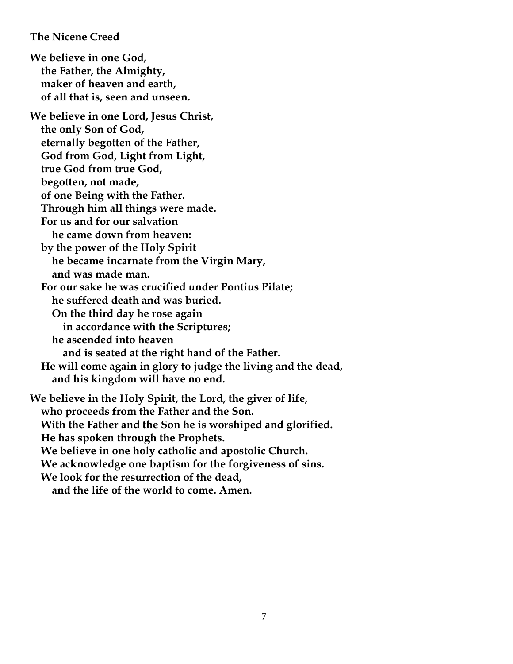**The Nicene Creed**

**We believe in one God, the Father, the Almighty, maker of heaven and earth, of all that is, seen and unseen. We believe in one Lord, Jesus Christ, the only Son of God, eternally begotten of the Father, God from God, Light from Light, true God from true God, begotten, not made, of one Being with the Father. Through him all things were made. For us and for our salvation he came down from heaven: by the power of the Holy Spirit he became incarnate from the Virgin Mary, and was made man. For our sake he was crucified under Pontius Pilate; he suffered death and was buried. On the third day he rose again in accordance with the Scriptures; he ascended into heaven and is seated at the right hand of the Father. He will come again in glory to judge the living and the dead, and his kingdom will have no end. We believe in the Holy Spirit, the Lord, the giver of life, who proceeds from the Father and the Son. With the Father and the Son he is worshiped and glorified. He has spoken through the Prophets. We believe in one holy catholic and apostolic Church. We acknowledge one baptism for the forgiveness of sins. We look for the resurrection of the dead, and the life of the world to come. Amen.**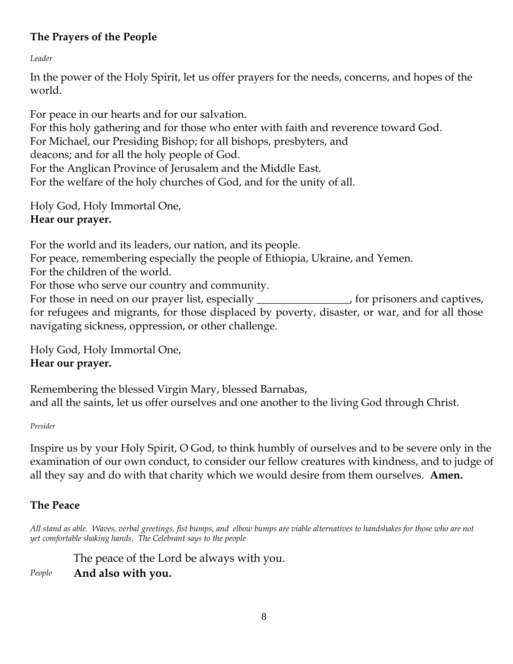# **The Prayers of the People**

*Leader*

In the power of the Holy Spirit, let us offer prayers for the needs, concerns, and hopes of the world.

For peace in our hearts and for our salvation. For this holy gathering and for those who enter with faith and reverence toward God. For Michael, our Presiding Bishop; for all bishops, presbyters, and deacons; and for all the holy people of God. For the Anglican Province of Jerusalem and the Middle East. For the welfare of the holy churches of God, and for the unity of all.

Holy God, Holy Immortal One, **Hear our prayer.**

For the world and its leaders, our nation, and its people.

For peace, remembering especially the people of Ethiopia, Ukraine, and Yemen.

For the children of the world.

For those who serve our country and community.

For those in need on our prayer list, especially **\_\_\_\_\_\_\_\_\_\_\_\_\_**, for prisoners and captives, for refugees and migrants, for those displaced by poverty, disaster, or war, and for all those navigating sickness, oppression, or other challenge.

Holy God, Holy Immortal One, **Hear our prayer.**

Remembering the blessed Virgin Mary, blessed Barnabas, and all the saints, let us offer ourselves and one another to the living God through Christ.

*Presider*

Inspire us by your Holy Spirit, O God, to think humbly of ourselves and to be severe only in the examination of our own conduct, to consider our fellow creatures with kindness, and to judge of all they say and do with that charity which we would desire from them ourselves. **Amen.**

# **The Peace**

*All stand as able. Waves, verbal greetings, fist bumps, and elbow bumps are viable alternatives to handshakes for those who are not yet comfortable shaking hands. The Celebrant says to the people*

The peace of the Lord be always with you.

*People* **And also with you.**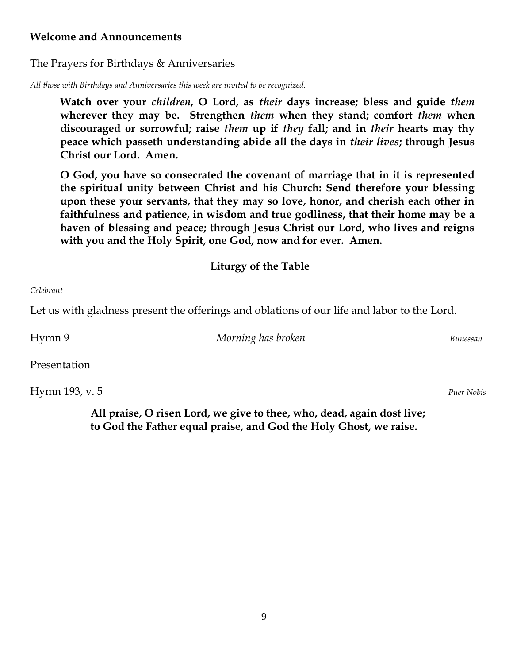# **Welcome and Announcements**

# The Prayers for Birthdays & Anniversaries

*All those with Birthdays and Anniversaries this week are invited to be recognized.*

**Watch over your** *children***, O Lord, as** *their* **days increase; bless and guide** *them* **wherever they may be. Strengthen** *them* **when they stand; comfort** *them* **when discouraged or sorrowful; raise** *them* **up if** *they* **fall; and in** *their* **hearts may thy peace which passeth understanding abide all the days in** *their lives***; through Jesus Christ our Lord. Amen.**

**O God, you have so consecrated the covenant of marriage that in it is represented the spiritual unity between Christ and his Church: Send therefore your blessing upon these your servants, that they may so love, honor, and cherish each other in faithfulness and patience, in wisdom and true godliness, that their home may be a haven of blessing and peace; through Jesus Christ our Lord, who lives and reigns with you and the Holy Spirit, one God, now and for ever. Amen.**

**Liturgy of the Table**

*Celebrant*

Let us with gladness present the offerings and oblations of our life and labor to the Lord.

Hymn 9 *Morning has broken Bunessan*

Presentation

Hymn 193, v. 5 *Puer Nobis*

**All praise, O risen Lord, we give to thee, who, dead, again dost live; to God the Father equal praise, and God the Holy Ghost, we raise.**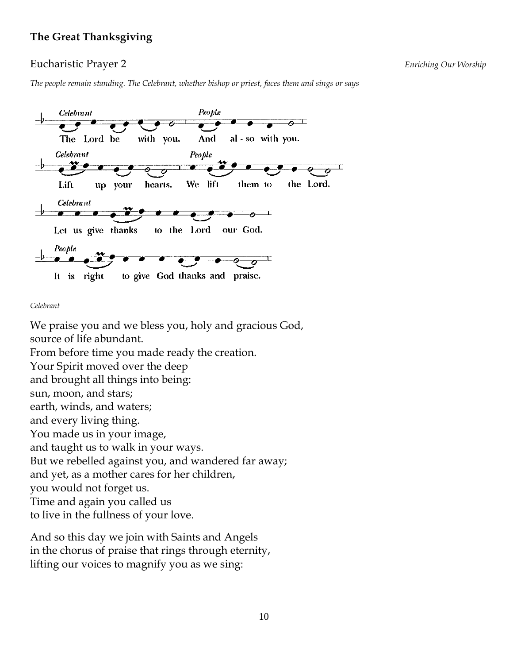# **The Great Thanksgiving**

#### Eucharistic Prayer 2 *Enriching Our Worship*

*The people remain standing. The Celebrant, whether bishop or priest, faces them and sings or says*



#### *Celebrant*

We praise you and we bless you, holy and gracious God, source of life abundant. From before time you made ready the creation. Your Spirit moved over the deep and brought all things into being: sun, moon, and stars; earth, winds, and waters; and every living thing. You made us in your image, and taught us to walk in your ways. But we rebelled against you, and wandered far away; and yet, as a mother cares for her children, you would not forget us. Time and again you called us to live in the fullness of your love.

And so this day we join with Saints and Angels in the chorus of praise that rings through eternity, lifting our voices to magnify you as we sing: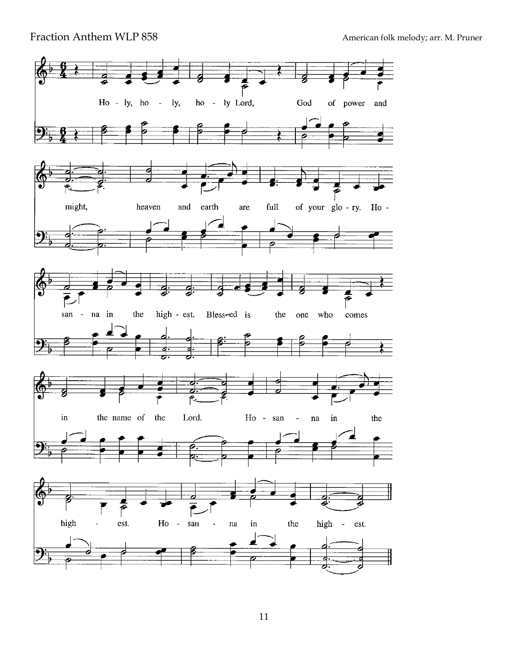Fraction Anthem WLP 858 American folk melody; arr. M. Pruner

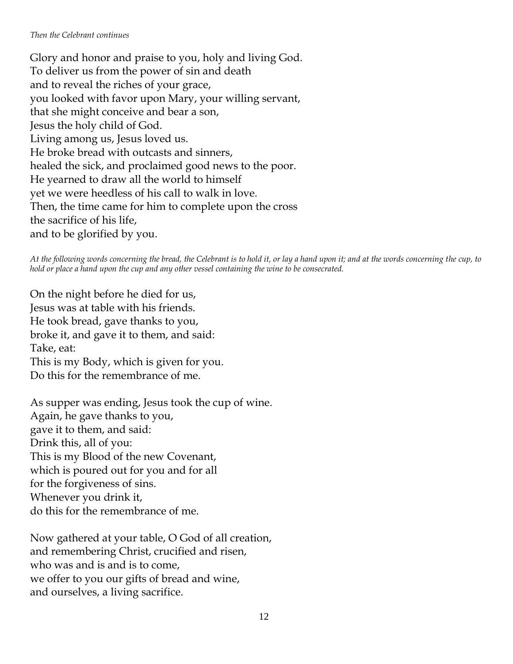#### *Then the Celebrant continues*

Glory and honor and praise to you, holy and living God. To deliver us from the power of sin and death and to reveal the riches of your grace, you looked with favor upon Mary, your willing servant, that she might conceive and bear a son, Jesus the holy child of God. Living among us, Jesus loved us. He broke bread with outcasts and sinners, healed the sick, and proclaimed good news to the poor. He yearned to draw all the world to himself yet we were heedless of his call to walk in love. Then, the time came for him to complete upon the cross the sacrifice of his life, and to be glorified by you.

*At the following words concerning the bread, the Celebrant is to hold it, or lay a hand upon it; and at the words concerning the cup, to hold or place a hand upon the cup and any other vessel containing the wine to be consecrated.*

On the night before he died for us, Jesus was at table with his friends. He took bread, gave thanks to you, broke it, and gave it to them, and said: Take, eat: This is my Body, which is given for you. Do this for the remembrance of me.

As supper was ending, Jesus took the cup of wine. Again, he gave thanks to you, gave it to them, and said: Drink this, all of you: This is my Blood of the new Covenant, which is poured out for you and for all for the forgiveness of sins. Whenever you drink it, do this for the remembrance of me.

Now gathered at your table, O God of all creation, and remembering Christ, crucified and risen, who was and is and is to come, we offer to you our gifts of bread and wine, and ourselves, a living sacrifice.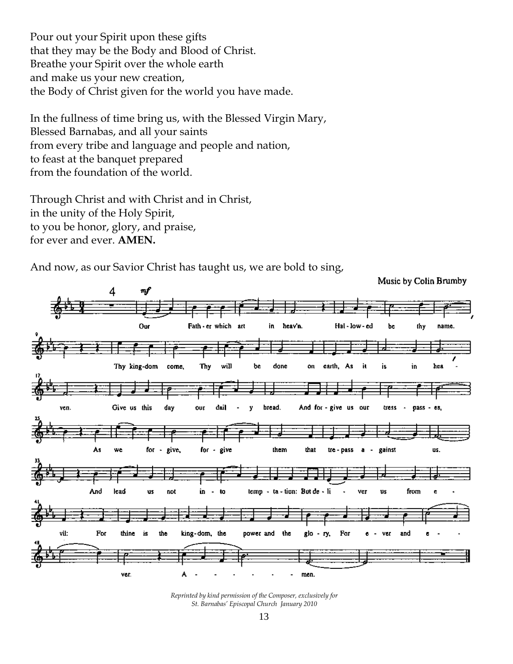Pour out your Spirit upon these gifts that they may be the Body and Blood of Christ. Breathe your Spirit over the whole earth and make us your new creation, the Body of Christ given for the world you have made.

In the fullness of time bring us, with the Blessed Virgin Mary, Blessed Barnabas, and all your saints from every tribe and language and people and nation, to feast at the banquet prepared from the foundation of the world.

Through Christ and with Christ and in Christ, in the unity of the Holy Spirit, to you be honor, glory, and praise, for ever and ever. **AMEN.**

And now, as our Savior Christ has taught us, we are bold to sing,



*Reprinted by kind permission of the Composer, exclusively for St. Barnabas' Episcopal Church January 2010*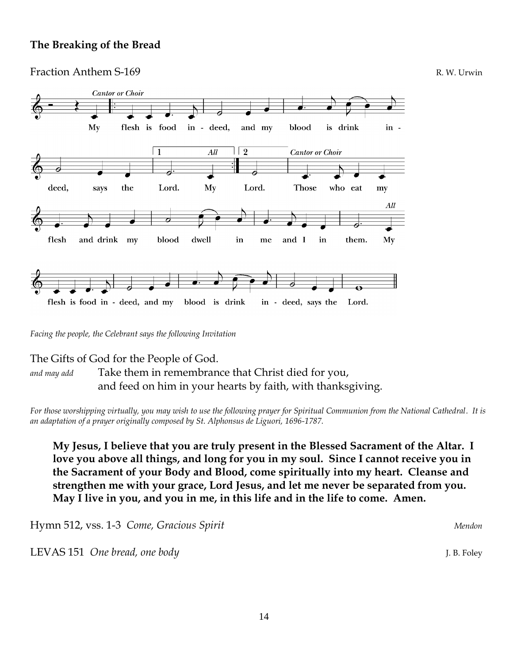# **The Breaking of the Bread**



*Facing the people, the Celebrant says the following Invitation*

The Gifts of God for the People of God.

*and may add* Take them in remembrance that Christ died for you, and feed on him in your hearts by faith, with thanksgiving.

*For those worshipping virtually, you may wish to use the following prayer for Spiritual Communion from the National Cathedral. It is an adaptation of a prayer originally composed by St. Alphonsus de Liguori, 1696-1787.* 

**My Jesus, I believe that you are truly present in the Blessed Sacrament of the Altar. I love you above all things, and long for you in my soul. Since I cannot receive you in the Sacrament of your Body and Blood, come spiritually into my heart. Cleanse and strengthen me with your grace, Lord Jesus, and let me never be separated from you. May I live in you, and you in me, in this life and in the life to come. Amen.**

| Hymn 512, vss. 1-3 Come, Gracious Spirit | Mendon      |
|------------------------------------------|-------------|
| LEVAS 151 One bread, one body            | J. B. Foley |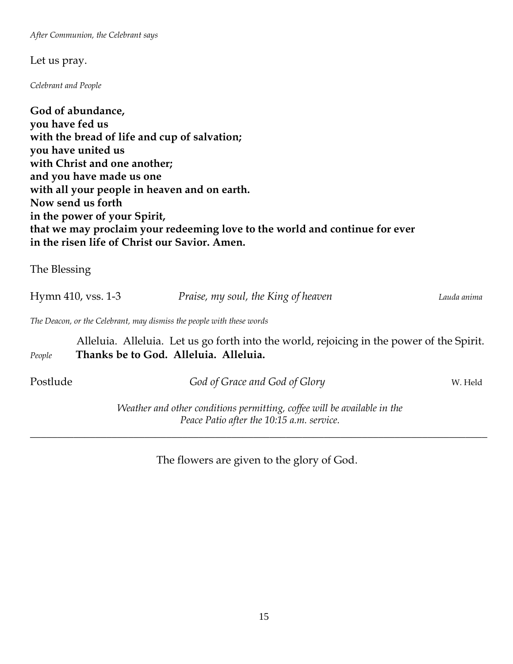*After Communion, the Celebrant says*

# Let us pray.

*Celebrant and People*

**God of abundance, you have fed us with the bread of life and cup of salvation; you have united us with Christ and one another; and you have made us one with all your people in heaven and on earth. Now send us forth in the power of your Spirit, that we may proclaim your redeeming love to the world and continue for ever in the risen life of Christ our Savior. Amen.** 

The Blessing

| Hymn 410, vss. 1-3 | Praise, my soul, the King of heaven | Lauda anima |
|--------------------|-------------------------------------|-------------|
|                    |                                     |             |

*The Deacon, or the Celebrant, may dismiss the people with these words*

Alleluia. Alleluia. Let us go forth into the world, rejoicing in the power of the Spirit. *People* **Thanks be to God. Alleluia. Alleluia.**

Postlude *God of Grace and God of Glory* W. Held

*Weather and other conditions permitting, coffee will be available in the Peace Patio after the 10:15 a.m. service.*

\_\_\_\_\_\_\_\_\_\_\_\_\_\_\_\_\_\_\_\_\_\_\_\_\_\_\_\_\_\_\_\_\_\_\_\_\_\_\_\_\_\_\_\_\_\_\_\_\_\_\_\_\_\_\_\_\_\_\_\_\_\_\_\_\_\_\_\_\_\_\_\_\_\_\_\_\_\_\_\_\_\_\_\_

The flowers are given to the glory of God.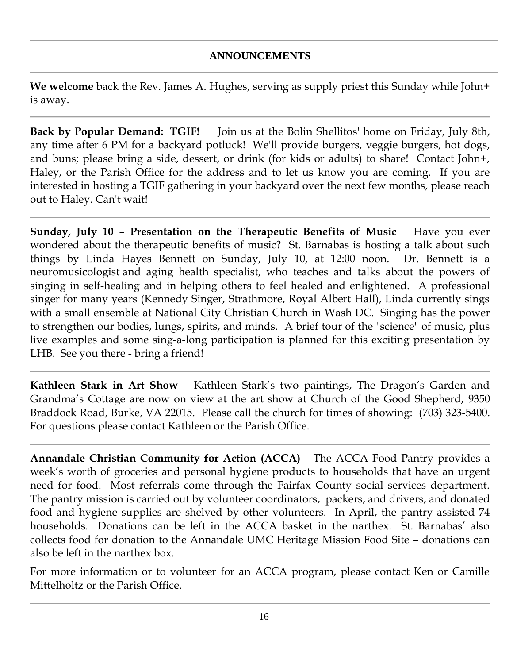# **ANNOUNCEMENTS**

**We welcome** back the Rev. James A. Hughes, serving as supply priest this Sunday while John+ is away.

**Back by Popular Demand: TGIF!** Join us at the Bolin Shellitos' home on Friday, July 8th, any time after 6 PM for a backyard potluck! We'll provide burgers, veggie burgers, hot dogs, and buns; please bring a side, dessert, or drink (for kids or adults) to share! Contact John+, Haley, or the Parish Office for the address and to let us know you are coming. If you are interested in hosting a TGIF gathering in your backyard over the next few months, please reach out to Haley. Can't wait!

**Sunday, July 10 - Presentation on the Therapeutic Benefits of Music Have you ever** wondered about the therapeutic benefits of music? St. Barnabas is hosting a talk about such things by Linda Hayes Bennett on Sunday, July 10, at 12:00 noon. Dr. Bennett is a neuromusicologist and aging health specialist, who teaches and talks about the powers of singing in self-healing and in helping others to feel healed and enlightened. A professional singer for many years (Kennedy Singer, Strathmore, Royal Albert Hall), Linda currently sings with a small ensemble at National City Christian Church in Wash DC. Singing has the power to strengthen our bodies, lungs, spirits, and minds. A brief tour of the "science" of music, plus live examples and some sing-a-long participation is planned for this exciting presentation by LHB. See you there - bring a friend!

**Kathleen Stark in Art Show** Kathleen Stark's two paintings, The Dragon's Garden and Grandma's Cottage are now on view at the art show at Church of the Good Shepherd, [9350](https://www.bing.com/local?lid=YN885x15342361&id=YN885x15342361&q=The+Church+of+the+Good+Shepherd&name=The+Church+of+the+Good+Shepherd&cp=38.8145637512207%7e-77.26847076416016&ppois=38.8145637512207_-77.26847076416016_The+Church+of+the+Good+Shepherd)  [Braddock Road, Burke, VA 22015.](https://www.bing.com/local?lid=YN885x15342361&id=YN885x15342361&q=The+Church+of+the+Good+Shepherd&name=The+Church+of+the+Good+Shepherd&cp=38.8145637512207%7e-77.26847076416016&ppois=38.8145637512207_-77.26847076416016_The+Church+of+the+Good+Shepherd) Please call the church for times of showing: [\(703\) 323-5400.](mailto:(703)%20323-5400) For questions please contact Kathleen or the Parish Office.

**Annandale Christian Community for Action (ACCA)** The ACCA Food Pantry provides a week's worth of groceries and personal hygiene products to households that have an urgent need for food. Most referrals come through the Fairfax County social services department. The pantry mission is carried out by volunteer coordinators, packers, and drivers, and donated food and hygiene supplies are shelved by other volunteers. In April, the pantry assisted 74 households. Donations can be left in the ACCA basket in the narthex. St. Barnabas' also collects food for donation to the Annandale UMC Heritage Mission Food Site – donations can also be left in the narthex box.

For more information or to volunteer for an ACCA program, please contact Ken or Camille Mittelholtz or the Parish Office.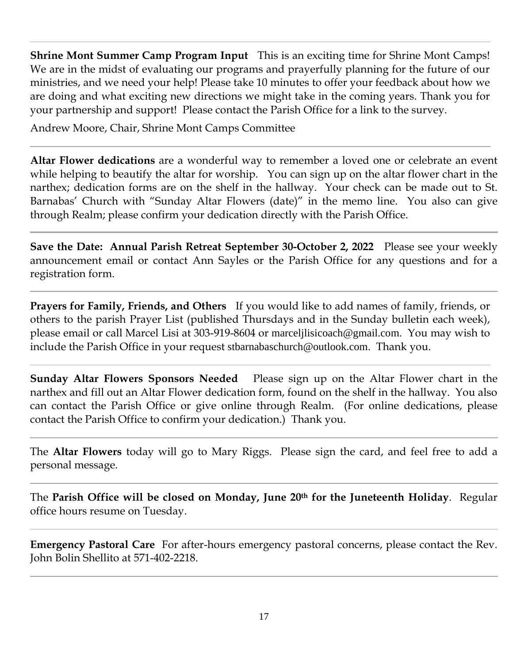**Shrine Mont Summer Camp Program Input** This is an exciting time for Shrine Mont Camps! We are in the midst of evaluating our programs and prayerfully planning for the future of our ministries, and we need your help! Please take 10 minutes to offer your feedback about how we are doing and what exciting new directions we might take in the coming years. Thank you for your partnership and support! Please contact the Parish Office for a link to the survey.

Andrew Moore, Chair, Shrine Mont Camps Committee

**Altar Flower dedications** are a wonderful way to remember a loved one or celebrate an event while helping to beautify the altar for worship. You can sign up on the altar flower chart in the narthex; dedication forms are on the shelf in the hallway. Your check can be made out to St. Barnabas' Church with "Sunday Altar Flowers (date)" in the memo line. You also can give through Realm; please confirm your dedication directly with the Parish Office.

**Save the Date: Annual Parish Retreat September 30-October 2, 2022** Please see your weekly announcement email or contact Ann Sayles or the Parish Office for any questions and for a registration form.

**Prayers for Family, Friends, and Others** If you would like to add names of family, friends, or others to the parish Prayer List (published Thursdays and in the Sunday bulletin each week), please email or call Marcel Lisi at 303-919-8604 or [marceljlisicoach@gmail.com](mailto:marceljlisicoach@gmail.com). You may wish to include the Parish Office in your request [stbarnabaschurch@outlook.com](mailto:stbarnabaschurch@outlook.com). Thank you.

**Sunday Altar Flowers Sponsors Needed** Please sign up on the Altar Flower chart in the narthex and fill out an Altar Flower dedication form, found on the shelf in the hallway. You also can contact the Parish Office or give online through Realm. (For online dedications, please contact the Parish Office to confirm your dedication.) Thank you.

The **Altar Flowers** today will go to Mary Riggs. Please sign the card, and feel free to add a personal message.

The **Parish Office will be closed on Monday, June 20th for the Juneteenth Holiday**. Regular office hours resume on Tuesday.

**Emergency Pastoral Care** For after-hours emergency pastoral concerns, please contact the Rev. John Bolin Shellito at 571-402-2218.